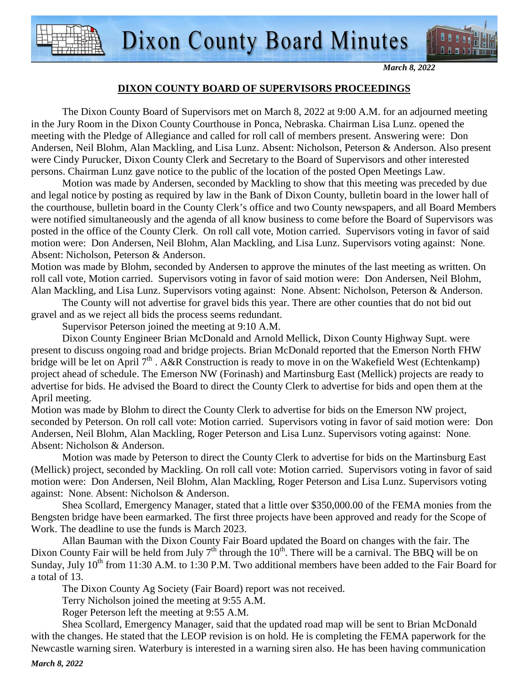

#### **DIXON COUNTY BOARD OF SUPERVISORS PROCEEDINGS**

 The Dixon County Board of Supervisors met on March 8, 2022 at 9:00 A.M. for an adjourned meeting in the Jury Room in the Dixon County Courthouse in Ponca, Nebraska. Chairman Lisa Lunz. opened the meeting with the Pledge of Allegiance and called for roll call of members present. Answering were: Don Andersen, Neil Blohm, Alan Mackling, and Lisa Lunz. Absent: Nicholson, Peterson & Anderson. Also present were Cindy Purucker, Dixon County Clerk and Secretary to the Board of Supervisors and other interested persons. Chairman Lunz gave notice to the public of the location of the posted Open Meetings Law.

 Motion was made by Andersen, seconded by Mackling to show that this meeting was preceded by due and legal notice by posting as required by law in the Bank of Dixon County, bulletin board in the lower hall of the courthouse, bulletin board in the County Clerk's office and two County newspapers, and all Board Members were notified simultaneously and the agenda of all know business to come before the Board of Supervisors was posted in the office of the County Clerk. On roll call vote, Motion carried. Supervisors voting in favor of said motion were: Don Andersen, Neil Blohm, Alan Mackling, and Lisa Lunz. Supervisors voting against: None. Absent: Nicholson, Peterson & Anderson.

Motion was made by Blohm, seconded by Andersen to approve the minutes of the last meeting as written. On roll call vote, Motion carried. Supervisors voting in favor of said motion were: Don Andersen, Neil Blohm, Alan Mackling, and Lisa Lunz. Supervisors voting against: None. Absent: Nicholson, Peterson & Anderson.

The County will not advertise for gravel bids this year. There are other counties that do not bid out gravel and as we reject all bids the process seems redundant.

Supervisor Peterson joined the meeting at 9:10 A.M.

Dixon County Engineer Brian McDonald and Arnold Mellick, Dixon County Highway Supt. were present to discuss ongoing road and bridge projects. Brian McDonald reported that the Emerson North FHW bridge will be let on April  $7<sup>th</sup>$ . A&R Construction is ready to move in on the Wakefield West (Echtenkamp) project ahead of schedule. The Emerson NW (Forinash) and Martinsburg East (Mellick) projects are ready to advertise for bids. He advised the Board to direct the County Clerk to advertise for bids and open them at the April meeting.

Motion was made by Blohm to direct the County Clerk to advertise for bids on the Emerson NW project, seconded by Peterson. On roll call vote: Motion carried. Supervisors voting in favor of said motion were: Don Andersen, Neil Blohm, Alan Mackling, Roger Peterson and Lisa Lunz. Supervisors voting against: None. Absent: Nicholson & Anderson.

Motion was made by Peterson to direct the County Clerk to advertise for bids on the Martinsburg East (Mellick) project, seconded by Mackling. On roll call vote: Motion carried. Supervisors voting in favor of said motion were: Don Andersen, Neil Blohm, Alan Mackling, Roger Peterson and Lisa Lunz. Supervisors voting against: None. Absent: Nicholson & Anderson.

Shea Scollard, Emergency Manager, stated that a little over \$350,000.00 of the FEMA monies from the Bengsten bridge have been earmarked. The first three projects have been approved and ready for the Scope of Work. The deadline to use the funds is March 2023.

Allan Bauman with the Dixon County Fair Board updated the Board on changes with the fair. The Dixon County Fair will be held from July  $7<sup>th</sup>$  through the 10<sup>th</sup>. There will be a carnival. The BBQ will be on Sunday, July  $10^{th}$  from 11:30 A.M. to 1:30 P.M. Two additional members have been added to the Fair Board for a total of 13.

The Dixon County Ag Society (Fair Board) report was not received.

Terry Nicholson joined the meeting at 9:55 A.M.

Roger Peterson left the meeting at 9:55 A.M.

Shea Scollard, Emergency Manager, said that the updated road map will be sent to Brian McDonald with the changes. He stated that the LEOP revision is on hold. He is completing the FEMA paperwork for the Newcastle warning siren. Waterbury is interested in a warning siren also. He has been having communication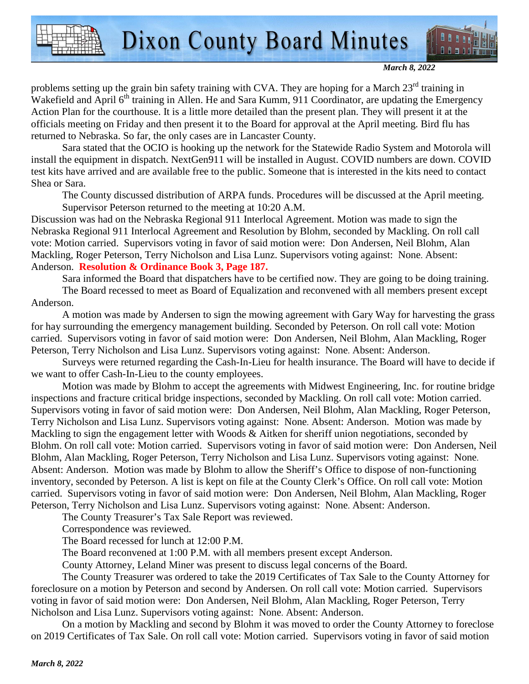

*March 8, 2022* 

problems setting up the grain bin safety training with CVA. They are hoping for a March  $23<sup>rd</sup>$  training in Wakefield and April 6<sup>th</sup> training in Allen. He and Sara Kumm, 911 Coordinator, are updating the Emergency Action Plan for the courthouse. It is a little more detailed than the present plan. They will present it at the officials meeting on Friday and then present it to the Board for approval at the April meeting. Bird flu has returned to Nebraska. So far, the only cases are in Lancaster County.

Sara stated that the OCIO is hooking up the network for the Statewide Radio System and Motorola will install the equipment in dispatch. NextGen911 will be installed in August. COVID numbers are down. COVID test kits have arrived and are available free to the public. Someone that is interested in the kits need to contact Shea or Sara.

The County discussed distribution of ARPA funds. Procedures will be discussed at the April meeting. Supervisor Peterson returned to the meeting at 10:20 A.M.

Discussion was had on the Nebraska Regional 911 Interlocal Agreement. Motion was made to sign the Nebraska Regional 911 Interlocal Agreement and Resolution by Blohm, seconded by Mackling. On roll call vote: Motion carried. Supervisors voting in favor of said motion were: Don Andersen, Neil Blohm, Alan Mackling, Roger Peterson, Terry Nicholson and Lisa Lunz. Supervisors voting against: None. Absent: Anderson. **Resolution & Ordinance Book 3, Page 187.**

Sara informed the Board that dispatchers have to be certified now. They are going to be doing training.

The Board recessed to meet as Board of Equalization and reconvened with all members present except Anderson.

A motion was made by Andersen to sign the mowing agreement with Gary Way for harvesting the grass for hay surrounding the emergency management building. Seconded by Peterson. On roll call vote: Motion carried. Supervisors voting in favor of said motion were: Don Andersen, Neil Blohm, Alan Mackling, Roger Peterson, Terry Nicholson and Lisa Lunz. Supervisors voting against: None. Absent: Anderson.

Surveys were returned regarding the Cash-In-Lieu for health insurance. The Board will have to decide if we want to offer Cash-In-Lieu to the county employees.

Motion was made by Blohm to accept the agreements with Midwest Engineering, Inc. for routine bridge inspections and fracture critical bridge inspections, seconded by Mackling. On roll call vote: Motion carried. Supervisors voting in favor of said motion were: Don Andersen, Neil Blohm, Alan Mackling, Roger Peterson, Terry Nicholson and Lisa Lunz. Supervisors voting against: None. Absent: Anderson. Motion was made by Mackling to sign the engagement letter with Woods & Aitken for sheriff union negotiations, seconded by Blohm. On roll call vote: Motion carried. Supervisors voting in favor of said motion were: Don Andersen, Neil Blohm, Alan Mackling, Roger Peterson, Terry Nicholson and Lisa Lunz. Supervisors voting against: None. Absent: Anderson. Motion was made by Blohm to allow the Sheriff's Office to dispose of non-functioning inventory, seconded by Peterson. A list is kept on file at the County Clerk's Office. On roll call vote: Motion carried. Supervisors voting in favor of said motion were: Don Andersen, Neil Blohm, Alan Mackling, Roger Peterson, Terry Nicholson and Lisa Lunz. Supervisors voting against: None. Absent: Anderson.

The County Treasurer's Tax Sale Report was reviewed.

Correspondence was reviewed.

The Board recessed for lunch at 12:00 P.M.

The Board reconvened at 1:00 P.M. with all members present except Anderson.

County Attorney, Leland Miner was present to discuss legal concerns of the Board.

The County Treasurer was ordered to take the 2019 Certificates of Tax Sale to the County Attorney for foreclosure on a motion by Peterson and second by Andersen. On roll call vote: Motion carried. Supervisors voting in favor of said motion were: Don Andersen, Neil Blohm, Alan Mackling, Roger Peterson, Terry Nicholson and Lisa Lunz. Supervisors voting against: None. Absent: Anderson.

 On a motion by Mackling and second by Blohm it was moved to order the County Attorney to foreclose on 2019 Certificates of Tax Sale. On roll call vote: Motion carried. Supervisors voting in favor of said motion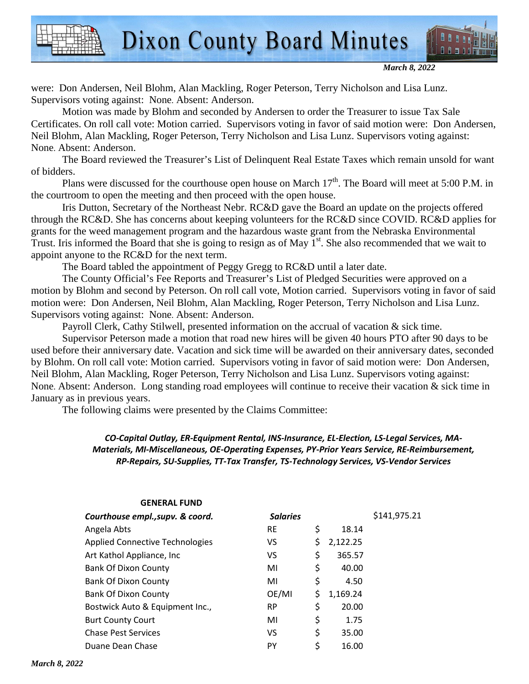

were: Don Andersen, Neil Blohm, Alan Mackling, Roger Peterson, Terry Nicholson and Lisa Lunz. Supervisors voting against: None. Absent: Anderson.

 Motion was made by Blohm and seconded by Andersen to order the Treasurer to issue Tax Sale Certificates. On roll call vote: Motion carried. Supervisors voting in favor of said motion were: Don Andersen, Neil Blohm, Alan Mackling, Roger Peterson, Terry Nicholson and Lisa Lunz. Supervisors voting against: None. Absent: Anderson.

**Dixon County Board Minutes** 

 The Board reviewed the Treasurer's List of Delinquent Real Estate Taxes which remain unsold for want of bidders.

Plans were discussed for the courthouse open house on March  $17<sup>th</sup>$ . The Board will meet at 5:00 P.M. in the courtroom to open the meeting and then proceed with the open house.

Iris Dutton, Secretary of the Northeast Nebr. RC&D gave the Board an update on the projects offered through the RC&D. She has concerns about keeping volunteers for the RC&D since COVID. RC&D applies for grants for the weed management program and the hazardous waste grant from the Nebraska Environmental Trust. Iris informed the Board that she is going to resign as of May  $1<sup>st</sup>$ . She also recommended that we wait to appoint anyone to the RC&D for the next term.

The Board tabled the appointment of Peggy Gregg to RC&D until a later date.

 The County Official's Fee Reports and Treasurer's List of Pledged Securities were approved on a motion by Blohm and second by Peterson. On roll call vote, Motion carried. Supervisors voting in favor of said motion were: Don Andersen, Neil Blohm, Alan Mackling, Roger Peterson, Terry Nicholson and Lisa Lunz. Supervisors voting against: None. Absent: Anderson.

Payroll Clerk, Cathy Stilwell, presented information on the accrual of vacation & sick time.

 Supervisor Peterson made a motion that road new hires will be given 40 hours PTO after 90 days to be used before their anniversary date. Vacation and sick time will be awarded on their anniversary dates, seconded by Blohm. On roll call vote: Motion carried. Supervisors voting in favor of said motion were: Don Andersen, Neil Blohm, Alan Mackling, Roger Peterson, Terry Nicholson and Lisa Lunz. Supervisors voting against: None. Absent: Anderson. Long standing road employees will continue to receive their vacation & sick time in January as in previous years.

The following claims were presented by the Claims Committee:

#### *CO-Capital Outlay, ER-Equipment Rental, INS-Insurance, EL-Election, LS-Legal Services, MA-Materials, MI-Miscellaneous, OE-Operating Expenses, PY-Prior Years Service, RE-Reimbursement, RP-Repairs, SU-Supplies, TT-Tax Transfer, TS-Technology Services, VS-Vendor Services*

| <b>Salaries</b> |                | \$141,975.21 |
|-----------------|----------------|--------------|
| <b>RE</b>       | \$<br>18.14    |              |
| VS              | \$<br>2,122.25 |              |
| VS.             | \$<br>365.57   |              |
| MI              | \$<br>40.00    |              |
| MI              | \$<br>4.50     |              |
| OE/MI           | \$<br>1,169.24 |              |
| <b>RP</b>       | \$<br>20.00    |              |
| MI              | \$<br>1.75     |              |
| VS              | \$<br>35.00    |              |
| PY              | \$<br>16.00    |              |
|                 |                |              |

### **GENERAL FUND**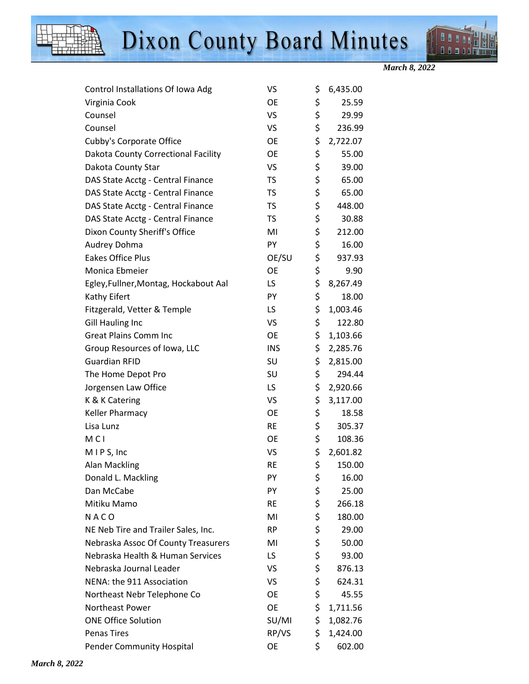



*March 8, 2022* 

| Control Installations Of Iowa Adg     | VS         | \$<br>6,435.00 |
|---------------------------------------|------------|----------------|
| Virginia Cook                         | <b>OE</b>  | \$<br>25.59    |
| Counsel                               | VS         | \$<br>29.99    |
| Counsel                               | VS         | \$<br>236.99   |
| Cubby's Corporate Office              | OE         | \$<br>2,722.07 |
| Dakota County Correctional Facility   | <b>OE</b>  | \$<br>55.00    |
| Dakota County Star                    | VS         | \$<br>39.00    |
| DAS State Acctg - Central Finance     | <b>TS</b>  | \$<br>65.00    |
| DAS State Acctg - Central Finance     | <b>TS</b>  | \$<br>65.00    |
| DAS State Acctg - Central Finance     | <b>TS</b>  | \$<br>448.00   |
| DAS State Acctg - Central Finance     | <b>TS</b>  | \$<br>30.88    |
| Dixon County Sheriff's Office         | MI         | \$<br>212.00   |
| Audrey Dohma                          | PY         | \$<br>16.00    |
| <b>Eakes Office Plus</b>              | OE/SU      | \$<br>937.93   |
| Monica Ebmeier                        | <b>OE</b>  | \$<br>9.90     |
| Egley, Fullner, Montag, Hockabout Aal | LS         | \$<br>8,267.49 |
| Kathy Eifert                          | PY         | \$<br>18.00    |
| Fitzgerald, Vetter & Temple           | LS         | \$<br>1,003.46 |
| <b>Gill Hauling Inc</b>               | VS         | \$<br>122.80   |
| <b>Great Plains Comm Inc</b>          | <b>OE</b>  | \$<br>1,103.66 |
| Group Resources of Iowa, LLC          | <b>INS</b> | \$<br>2,285.76 |
| <b>Guardian RFID</b>                  | SU         | \$<br>2,815.00 |
| The Home Depot Pro                    | SU         | \$<br>294.44   |
| Jorgensen Law Office                  | LS         | \$<br>2,920.66 |
| K & K Catering                        | VS         | \$<br>3,117.00 |
| Keller Pharmacy                       | <b>OE</b>  | \$<br>18.58    |
| Lisa Lunz                             | <b>RE</b>  | \$<br>305.37   |
| M <sub>C</sub> I                      | <b>OE</b>  | \$<br>108.36   |
| MIPS, Inc                             | VS         | \$<br>2,601.82 |
| <b>Alan Mackling</b>                  | <b>RE</b>  | \$<br>150.00   |
| Donald L. Mackling                    | PY         | \$<br>16.00    |
| Dan McCabe                            | PY         | \$<br>25.00    |
| Mitiku Mamo                           | <b>RE</b>  | \$<br>266.18   |
| NACO                                  | MI         | \$<br>180.00   |
| NE Neb Tire and Trailer Sales, Inc.   | RP.        | \$<br>29.00    |
| Nebraska Assoc Of County Treasurers   | MI         | \$<br>50.00    |
| Nebraska Health & Human Services      | LS.        | \$<br>93.00    |
| Nebraska Journal Leader               | VS         | \$<br>876.13   |
| NENA: the 911 Association             | VS         | \$<br>624.31   |
| Northeast Nebr Telephone Co           | <b>OE</b>  | \$<br>45.55    |
| Northeast Power                       | <b>OE</b>  | \$<br>1,711.56 |
| <b>ONE Office Solution</b>            | SU/MI      | \$<br>1,082.76 |
| <b>Penas Tires</b>                    | RP/VS      | \$<br>1,424.00 |
| <b>Pender Community Hospital</b>      | <b>OE</b>  | \$<br>602.00   |
|                                       |            |                |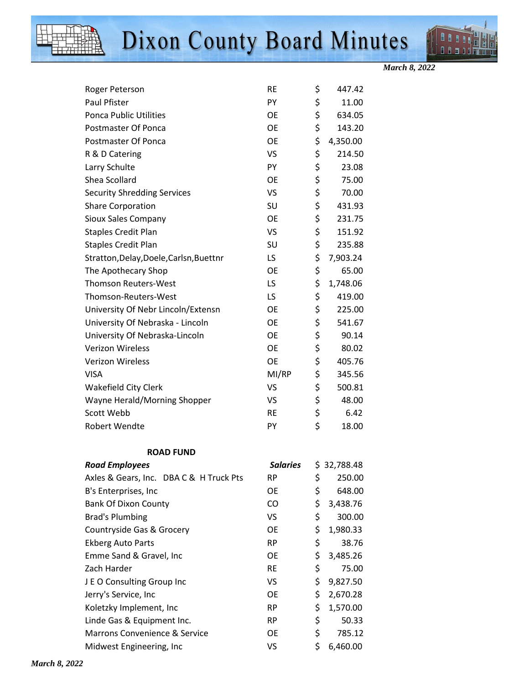



*March 8, 2022* 

| Roger Peterson                          | <b>RE</b>       | \$<br>447.42   |
|-----------------------------------------|-----------------|----------------|
| Paul Pfister                            | PY              | \$<br>11.00    |
| <b>Ponca Public Utilities</b>           | <b>OE</b>       | \$<br>634.05   |
| Postmaster Of Ponca                     | <b>OE</b>       | \$<br>143.20   |
| Postmaster Of Ponca                     | <b>OE</b>       | \$<br>4,350.00 |
| R & D Catering                          | <b>VS</b>       | \$<br>214.50   |
| Larry Schulte                           | PY              | \$<br>23.08    |
| Shea Scollard                           | <b>OE</b>       | \$<br>75.00    |
| <b>Security Shredding Services</b>      | <b>VS</b>       | \$<br>70.00    |
| <b>Share Corporation</b>                | SU              | \$<br>431.93   |
| Sioux Sales Company                     | <b>OE</b>       | \$<br>231.75   |
| <b>Staples Credit Plan</b>              | <b>VS</b>       | \$<br>151.92   |
| <b>Staples Credit Plan</b>              | SU              | \$<br>235.88   |
| Stratton, Delay, Doele, Carlsn, Buettnr | LS              | \$<br>7,903.24 |
| The Apothecary Shop                     | <b>OE</b>       | \$<br>65.00    |
| <b>Thomson Reuters-West</b>             | LS              | \$<br>1,748.06 |
| Thomson-Reuters-West                    | LS              | \$<br>419.00   |
| University Of Nebr Lincoln/Extensn      | <b>OE</b>       | \$<br>225.00   |
| University Of Nebraska - Lincoln        | <b>OE</b>       | \$<br>541.67   |
| University Of Nebraska-Lincoln          | <b>OE</b>       | \$<br>90.14    |
| <b>Verizon Wireless</b>                 | <b>OE</b>       | \$<br>80.02    |
| <b>Verizon Wireless</b>                 | <b>OE</b>       | \$<br>405.76   |
| <b>VISA</b>                             | MI/RP           | \$<br>345.56   |
| Wakefield City Clerk                    | VS              | \$<br>500.81   |
| Wayne Herald/Morning Shopper            | VS              | \$<br>48.00    |
| Scott Webb                              | <b>RE</b>       | \$<br>6.42     |
| <b>Robert Wendte</b>                    | PY              | \$<br>18.00    |
| <b>ROAD FUND</b>                        |                 |                |
| <b>Road Employees</b>                   | <b>Salaries</b> | \$32,788.48    |
| Axles & Gears, Inc. DBA C & H Truck Pts | <b>RP</b>       | \$<br>250.00   |
| B's Enterprises, Inc                    | <b>OE</b>       | \$<br>648.00   |
| <b>Bank Of Dixon County</b>             | CO              | \$<br>3,438.76 |
| <b>Brad's Plumbing</b>                  | VS              | \$<br>300.00   |
| Countryside Gas & Grocery               | OE              | \$<br>1,980.33 |
| <b>Ekberg Auto Parts</b>                | <b>RP</b>       | \$<br>38.76    |
| Emme Sand & Gravel, Inc                 | OE              | \$<br>3,485.26 |
| Zach Harder                             | <b>RE</b>       | \$<br>75.00    |
| J E O Consulting Group Inc              | VS              | \$<br>9,827.50 |
| Jerry's Service, Inc                    | <b>OE</b>       | \$<br>2,670.28 |
| Koletzky Implement, Inc                 | <b>RP</b>       | \$<br>1,570.00 |
| Linde Gas & Equipment Inc.              | <b>RP</b>       | \$<br>50.33    |
| Marrons Convenience & Service           | OE              | \$<br>785.12   |
| Midwest Engineering, Inc                | VS              | \$<br>6,460.00 |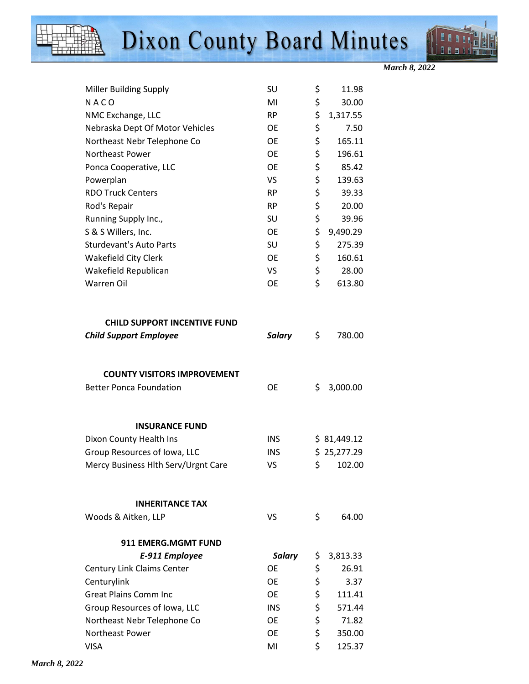

*March 8, 2022* 

| <b>Miller Building Supply</b>                                        | SU            | \$       | 11.98       |
|----------------------------------------------------------------------|---------------|----------|-------------|
| NACO                                                                 | MI            | \$       | 30.00       |
| NMC Exchange, LLC                                                    | <b>RP</b>     | \$       | 1,317.55    |
| Nebraska Dept Of Motor Vehicles                                      | <b>OE</b>     | \$       | 7.50        |
| Northeast Nebr Telephone Co                                          | <b>OE</b>     | \$       | 165.11      |
| Northeast Power                                                      | <b>OE</b>     | \$       | 196.61      |
| Ponca Cooperative, LLC                                               | <b>OE</b>     | \$       | 85.42       |
| Powerplan                                                            | VS            | \$       | 139.63      |
| <b>RDO Truck Centers</b>                                             | <b>RP</b>     | \$       | 39.33       |
| Rod's Repair                                                         | <b>RP</b>     | \$       | 20.00       |
| Running Supply Inc.,                                                 | SU            | \$       | 39.96       |
| S & S Willers, Inc.                                                  | <b>OE</b>     | \$       | 9,490.29    |
| <b>Sturdevant's Auto Parts</b>                                       | SU            | \$       | 275.39      |
| <b>Wakefield City Clerk</b>                                          | <b>OE</b>     | \$       | 160.61      |
| Wakefield Republican                                                 | VS            | \$       | 28.00       |
| <b>Warren Oil</b>                                                    | <b>OE</b>     | \$       | 613.80      |
| <b>CHILD SUPPORT INCENTIVE FUND</b><br><b>Child Support Employee</b> | <b>Salary</b> | \$       | 780.00      |
| <b>COUNTY VISITORS IMPROVEMENT</b>                                   |               |          |             |
| <b>Better Ponca Foundation</b>                                       | <b>OE</b>     | \$       | 3,000.00    |
| <b>INSURANCE FUND</b>                                                |               |          |             |
| Dixon County Health Ins                                              | <b>INS</b>    |          | \$31,449.12 |
| Group Resources of Iowa, LLC                                         | <b>INS</b>    |          | \$25,277.29 |
| Mercy Business Hlth Serv/Urgnt Care                                  | VS            | \$       | 102.00      |
|                                                                      |               |          |             |
| <b>INHERITANCE TAX</b>                                               |               |          |             |
| Woods & Aitken, LLP                                                  | VS            | \$       | 64.00       |
| <b>911 EMERG.MGMT FUND</b>                                           |               |          |             |
| E-911 Employee                                                       | <b>Salary</b> | \$       | 3,813.33    |
| <b>Century Link Claims Center</b>                                    | <b>OE</b>     | \$       | 26.91       |
| Centurylink                                                          | <b>OE</b>     | \$       | 3.37        |
| <b>Great Plains Comm Inc</b>                                         | <b>OE</b>     | \$       | 111.41      |
| Group Resources of Iowa, LLC                                         | <b>INS</b>    | \$       | 571.44      |
|                                                                      |               |          |             |
| Northeast Nebr Telephone Co                                          | <b>OE</b>     | \$       | 71.82       |
| Northeast Power                                                      | <b>OE</b>     | \$<br>\$ | 350.00      |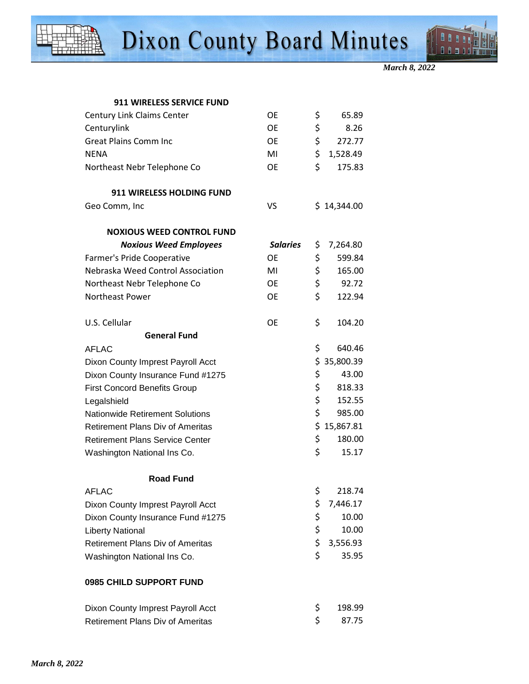



| <b>911 WIRELESS SERVICE FUND</b>  |                     |    |                                     |
|-----------------------------------|---------------------|----|-------------------------------------|
| <b>Century Link Claims Center</b> | OE.                 | S. | 65.89                               |
| Centurylink                       | 0E                  |    | 8.26                                |
| Great Plains Comm Inc             | OF.                 |    | 272.77                              |
| <b>NIENIA</b>                     | <b>A</b> <i>A</i> I |    | $\sigma$ $\sigma$ $\sigma$ $\sigma$ |

| <b>NENA</b>                             | MI              | \$<br>1,528.49  |
|-----------------------------------------|-----------------|-----------------|
| Northeast Nebr Telephone Co             | <b>OE</b>       | \$<br>175.83    |
|                                         |                 |                 |
| <b>911 WIRELESS HOLDING FUND</b>        |                 |                 |
| Geo Comm, Inc                           | VS              | \$14,344.00     |
|                                         |                 |                 |
| <b>NOXIOUS WEED CONTROL FUND</b>        |                 |                 |
| <b>Noxious Weed Employees</b>           | <b>Salaries</b> | \$<br>7,264.80  |
| Farmer's Pride Cooperative              | <b>OE</b>       | \$<br>599.84    |
| Nebraska Weed Control Association       | MI              | \$<br>165.00    |
| Northeast Nebr Telephone Co             | <b>OE</b>       | \$<br>92.72     |
| <b>Northeast Power</b>                  | <b>OE</b>       | \$<br>122.94    |
|                                         |                 |                 |
| U.S. Cellular                           | <b>OE</b>       | \$<br>104.20    |
| <b>General Fund</b>                     |                 |                 |
| <b>AFLAC</b>                            |                 | \$<br>640.46    |
| Dixon County Imprest Payroll Acct       |                 | \$<br>35,800.39 |
| Dixon County Insurance Fund #1275       |                 | \$<br>43.00     |
| <b>First Concord Benefits Group</b>     |                 | \$<br>818.33    |
| Legalshield                             |                 | \$<br>152.55    |
| <b>Nationwide Retirement Solutions</b>  |                 | \$<br>985.00    |
| <b>Retirement Plans Div of Ameritas</b> |                 | \$<br>15,867.81 |
| <b>Retirement Plans Service Center</b>  |                 | \$<br>180.00    |
| Washington National Ins Co.             |                 | \$<br>15.17     |

#### **Road Fund**

| AFLAC                                   |    | 218.74     |
|-----------------------------------------|----|------------|
| Dixon County Imprest Payroll Acct       |    | \$7,446.17 |
| Dixon County Insurance Fund #1275       | S. | 10.00      |
| Liberty National                        | S. | 10.00      |
| <b>Retirement Plans Div of Ameritas</b> |    | \$3,556.93 |
| Washington National Ins Co.             | S. | 35.95      |

#### **0985 CHILD SUPPORT FUND**

| Dixon County Imprest Payroll Acct | S 198.99 |
|-----------------------------------|----------|
| Retirement Plans Div of Ameritas  | 87.75    |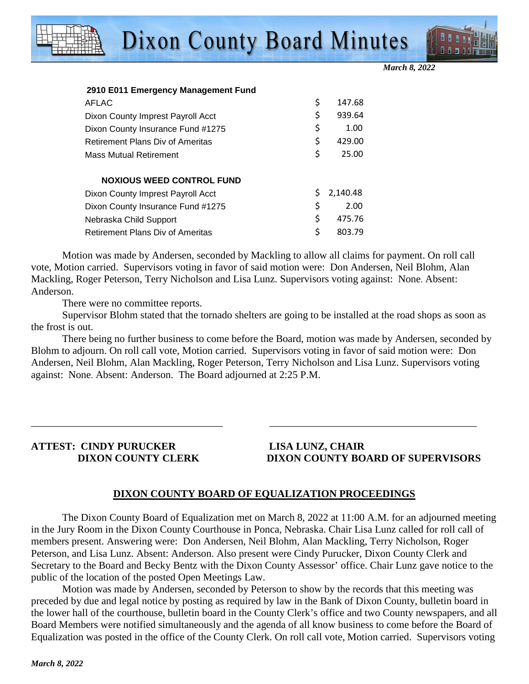



|  |  |  | 2910 E011 Emergency Management Fund |  |
|--|--|--|-------------------------------------|--|
|--|--|--|-------------------------------------|--|

| <b>AFLAC</b>                            | \$ | 147.68   |
|-----------------------------------------|----|----------|
| Dixon County Imprest Payroll Acct       | \$ | 939.64   |
| Dixon County Insurance Fund #1275       | \$ | 1.00     |
| <b>Retirement Plans Div of Ameritas</b> | \$ | 429.00   |
| <b>Mass Mutual Retirement</b>           | \$ | 25.00    |
| <b>NOXIOUS WEED CONTROL FUND</b>        |    |          |
| Dixon County Imprest Payroll Acct       | S  | 2,140.48 |
| Dixon County Insurance Fund #1275       | \$ | 2.00     |
| Nebraska Child Support                  | \$ | 475.76   |
| <b>Retirement Plans Div of Ameritas</b> | \$ | 803.79   |
|                                         |    |          |

Motion was made by Andersen, seconded by Mackling to allow all claims for payment. On roll call vote, Motion carried. Supervisors voting in favor of said motion were: Don Andersen, Neil Blohm, Alan Mackling, Roger Peterson, Terry Nicholson and Lisa Lunz. Supervisors voting against: None. Absent: Anderson.

There were no committee reports.

Supervisor Blohm stated that the tornado shelters are going to be installed at the road shops as soon as the frost is out.

There being no further business to come before the Board, motion was made by Andersen, seconded by Blohm to adjourn. On roll call vote, Motion carried. Supervisors voting in favor of said motion were: Don Andersen, Neil Blohm, Alan Mackling, Roger Peterson, Terry Nicholson and Lisa Lunz. Supervisors voting against: None. Absent: Anderson. The Board adjourned at 2:25 P.M.

\_\_\_\_\_\_\_\_\_\_\_\_\_\_\_\_\_\_\_\_\_\_\_\_\_\_\_\_\_\_\_\_\_\_\_\_\_ \_\_\_\_\_\_\_\_\_\_\_\_\_\_\_\_\_\_\_\_\_\_\_\_\_\_\_\_\_\_\_\_\_\_\_\_\_\_\_\_

## **ATTEST: CINDY PURUCKER LISA LUNZ, CHAIR**

### **DIXON COUNTY CLERK DIXON COUNTY BOARD OF SUPERVISORS**

#### **DIXON COUNTY BOARD OF EQUALIZATION PROCEEDINGS**

 The Dixon County Board of Equalization met on March 8, 2022 at 11:00 A.M. for an adjourned meeting in the Jury Room in the Dixon County Courthouse in Ponca, Nebraska. Chair Lisa Lunz called for roll call of members present. Answering were: Don Andersen, Neil Blohm, Alan Mackling, Terry Nicholson, Roger Peterson, and Lisa Lunz. Absent: Anderson. Also present were Cindy Purucker, Dixon County Clerk and Secretary to the Board and Becky Bentz with the Dixon County Assessor' office. Chair Lunz gave notice to the public of the location of the posted Open Meetings Law.

Motion was made by Andersen, seconded by Peterson to show by the records that this meeting was preceded by due and legal notice by posting as required by law in the Bank of Dixon County, bulletin board in the lower hall of the courthouse, bulletin board in the County Clerk's office and two County newspapers, and all Board Members were notified simultaneously and the agenda of all know business to come before the Board of Equalization was posted in the office of the County Clerk. On roll call vote, Motion carried. Supervisors voting